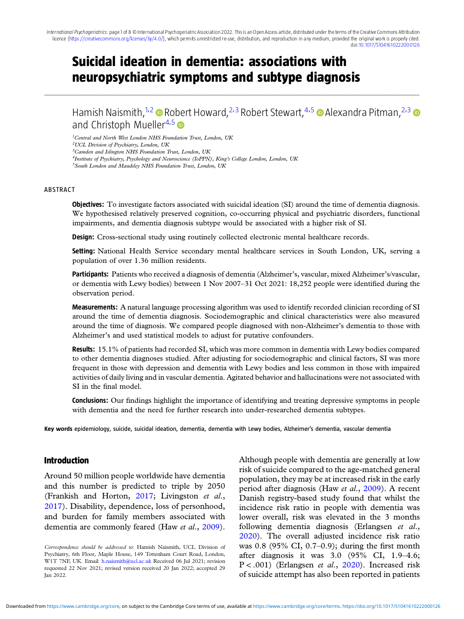........................................................................................................................................................................................................................................................................................................................................................................................................................................................................................................................................................................................................................

# Suicidal ideation in dementia: associations with neuropsychiatric symptoms and subtype diagnosis

Hamish Naismith,<sup>1,2</sup> Robert Howard,<sup>2,3</sup> Robert Stewart,<sup>4,5</sup> a Alexandra Pitman,<sup>2,3</sup> a and Christoph Mueller<sup>4,5</sup>

<sup>1</sup>Central and North West London NHS Foundation Trust, London, UK

2UCL Division of Psychiatry, London, UK

3Camden and Islington NHS Foundation Trust, London, UK

<sup>4</sup>Institute of Psychiatry, Psychology and Neuroscience (IoPPN), King's College London, London, UK

5South London and Maudsley NHS Foundation Trust, London, UK

#### ABSTRACT

**Objectives:** To investigate factors associated with suicidal ideation (SI) around the time of dementia diagnosis. We hypothesised relatively preserved cognition, co-occurring physical and psychiatric disorders, functional impairments, and dementia diagnosis subtype would be associated with a higher risk of SI.

Design: Cross-sectional study using routinely collected electronic mental healthcare records.

Setting: National Health Service secondary mental healthcare services in South London, UK, serving a population of over 1.36 million residents.

Participants: Patients who received a diagnosis of dementia (Alzheimer's, vascular, mixed Alzheimer's/vascular, or dementia with Lewy bodies) between 1 Nov 2007–31 Oct 2021: 18,252 people were identified during the observation period.

Measurements: A natural language processing algorithm was used to identify recorded clinician recording of SI around the time of dementia diagnosis. Sociodemographic and clinical characteristics were also measured around the time of diagnosis. We compared people diagnosed with non-Alzheimer's dementia to those with Alzheimer's and used statistical models to adjust for putative confounders.

Results: 15.1% of patients had recorded SI, which was more common in dementia with Lewy bodies compared to other dementia diagnoses studied. After adjusting for sociodemographic and clinical factors, SI was more frequent in those with depression and dementia with Lewy bodies and less common in those with impaired activities of daily living and in vascular dementia. Agitated behavior and hallucinations were not associated with SI in the final model.

**Conclusions:** Our findings highlight the importance of identifying and treating depressive symptoms in people with dementia and the need for further research into under-researched dementia subtypes.

Key words epidemiology, suicide, suicidal ideation, dementia, dementia with Lewy bodies, Alzheimer's dementia, vascular dementia

## Introduction

Around 50 million people worldwide have dementia and this number is predicted to triple by 2050 (Frankish and Horton, [2017;](#page-7-0) Livingston et al., [2017\)](#page-7-0). Disability, dependence, loss of personhood, and burden for family members associated with dementia are commonly feared (Haw et al., [2009\)](#page-7-0).

Correspondence should be addressed to: Hamish Naismith, UCL Division of Psychiatry, 6th Floor, Maple House, 149 Tottenham Court Road, London, W1T 7NF, UK. Email: [h.naismith@ucl.ac.uk](mailto:h.naismith@ucl.ac.uk) Received 06 Jul 2021; revision requested 22 Nov 2021; revised version received 20 Jan 2022; accepted 29 Jan 2022.

Although people with dementia are generally at low risk of suicide compared to the age-matched general population, they may be at increased risk in the early period after diagnosis (Haw et al., [2009](#page-7-0)). A recent Danish registry-based study found that whilst the incidence risk ratio in people with dementia was lower overall, risk was elevated in the 3 months following dementia diagnosis (Erlangsen et al., [2020\)](#page-7-0). The overall adjusted incidence risk ratio was 0.8 (95% CI, 0.7–0.9); during the first month after diagnosis it was 3.0 (95% CI, 1.9–4.6; P < .001) (Erlangsen et al., [2020\)](#page-7-0). Increased risk of suicide attempt has also been reported in patients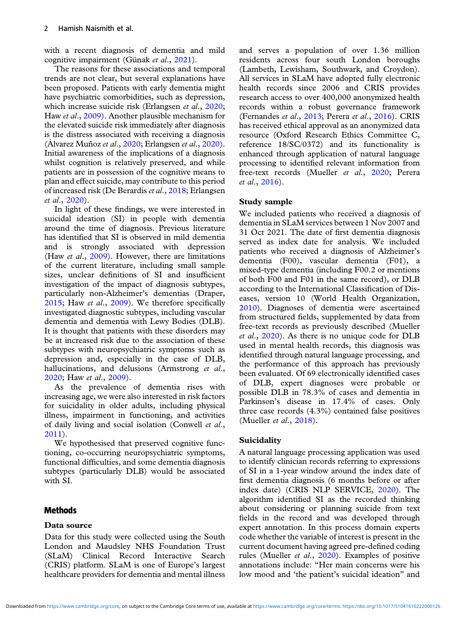with a recent diagnosis of dementia and mild cognitive impairment (Günak et al., [2021](#page-7-0)).

The reasons for these associations and temporal trends are not clear, but several explanations have been proposed. Patients with early dementia might have psychiatric comorbidities, such as depression, which increase suicide risk (Erlangsen *et al.*, [2020;](#page-7-0) Haw et al., [2009\)](#page-7-0). Another plausible mechanism for the elevated suicide risk immediately after diagnosis is the distress associated with receiving a diagnosis (Alvarez Muñoz et al.,  $2020$ ; Erlangsen et al.,  $2020$ ). Initial awareness of the implications of a diagnosis whilst cognition is relatively preserved, and while patients are in possession of the cognitive means to plan and effect suicide, may contribute to this period of increased risk (De Berardis et al., [2018;](#page-6-0) Erlangsen et al., [2020\)](#page-7-0).

In light of these findings, we were interested in suicidal ideation (SI) in people with dementia around the time of diagnosis. Previous literature has identified that SI is observed in mild dementia and is strongly associated with depression (Haw et al., [2009\)](#page-7-0). However, there are limitations of the current literature, including small sample sizes, unclear definitions of SI and insufficient investigation of the impact of diagnosis subtypes, particularly non-Alzheimer's dementias (Draper, [2015;](#page-7-0) Haw et al., [2009](#page-7-0)). We therefore specifically investigated diagnostic subtypes, including vascular dementia and dementia with Lewy Bodies (DLB). It is thought that patients with these disorders may be at increased risk due to the association of these subtypes with neuropsychiatric symptoms such as depression and, especially in the case of DLB, hallucinations, and delusions (Armstrong et al., [2020;](#page-6-0) Haw et al., [2009\)](#page-7-0).

As the prevalence of dementia rises with increasing age, we were also interested in risk factors for suicidality in older adults, including physical illness, impairment in functioning, and activities of daily living and social isolation (Conwell et al., [2011\)](#page-6-0).

We hypothesised that preserved cognitive functioning, co-occurring neuropsychiatric symptoms, functional difficulties, and some dementia diagnosis subtypes (particularly DLB) would be associated with SI.

## **Methods**

### Data source

Data for this study were collected using the South London and Maudsley NHS Foundation Trust (SLaM) Clinical Record Interactive Search (CRIS) platform. SLaM is one of Europe's largest healthcare providers for dementia and mental illness

and serves a population of over 1.36 million residents across four south London boroughs (Lambeth, Lewisham, Southwark, and Croydon). All services in SLaM have adopted fully electronic health records since 2006 and CRIS provides research access to over 400,000 anonymized health records within a robust governance framework (Fernandes et al., [2013;](#page-7-0) Perera et al., [2016\)](#page-7-0). CRIS has received ethical approval as an anonymized data resource (Oxford Research Ethics Committee C, reference 18/SC/0372) and its functionality is enhanced through application of natural language processing to identified relevant information from free-text records (Mueller et al., [2020](#page-7-0); Perera et al., [2016\)](#page-7-0).

#### Study sample

We included patients who received a diagnosis of dementia in SLaM services between 1 Nov 2007 and 31 Oct 2021. The date of first dementia diagnosis served as index date for analysis. We included patients who received a diagnosis of Alzheimer's dementia (F00), vascular dementia (F01), a mixed-type dementia (including F00.2 or mentions of both F00 and F01 in the same record), or DLB according to the International Classification of Diseases, version 10 (World Health Organization, [2010\)](#page-7-0). Diagnoses of dementia were ascertained from structured fields, supplemented by data from free-text records as previously described (Mueller et al., [2020\)](#page-7-0). As there is no unique code for DLB used in mental health records, this diagnosis was identified through natural language processing, and the performance of this approach has previously been evaluated. Of 69 electronically identified cases of DLB, expert diagnoses were probable or possible DLB in 78.3% of cases and dementia in Parkinson's disease in 17.4% of cases. Only three case records (4.3%) contained false positives (Mueller et al., [2018\)](#page-7-0).

### Suicidality

A natural language processing application was used to identify clinician records referring to expressions of SI in a 1-year window around the index date of first dementia diagnosis (6 months before or after index date) (CRIS NLP SERVICE, [2020\)](#page-6-0). The algorithm identified SI as the recorded thinking about considering or planning suicide from text fields in the record and was developed through expert annotation. In this process domain experts code whether the variable of interest is present in the current document having agreed pre-defined coding rules (Mueller et al., [2020\)](#page-7-0). Examples of positive annotations include: "Her main concerns were his low mood and 'the patient's suicidal ideation" and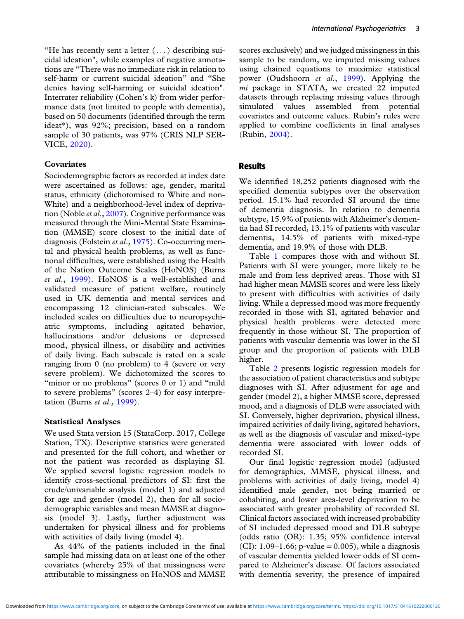"He has recently sent a letter  $(\ldots)$  describing suicidal ideation", while examples of negative annotations are "There was no immediate risk in relation to self-harm or current suicidal ideation" and "She denies having self-harming or suicidal ideation". Interrater reliability (Cohen's k) from wider performance data (not limited to people with dementia), based on 50 documents (identified through the term ideat\*), was 92%; precision, based on a random sample of 30 patients, was 97% (CRIS NLP SER-VICE, [2020\)](#page-6-0).

#### Covariates

Sociodemographic factors as recorded at index date were ascertained as follows: age, gender, marital status, ethnicity (dichotomised to White and non-White) and a neighborhood-level index of depriva-tion (Noble et al., [2007](#page-7-0)). Cognitive performance was measured through the Mini-Mental State Examination (MMSE) score closest to the initial date of diagnosis (Folstein et al., [1975](#page-7-0)). Co-occurring mental and physical health problems, as well as functional difficulties, were established using the Health of the Nation Outcome Scales (HoNOS) (Burns et al., [1999\)](#page-6-0). HoNOS is a well-established and validated measure of patient welfare, routinely used in UK dementia and mental services and encompassing 12 clinician-rated subscales. We included scales on difficulties due to neuropsychiatric symptoms, including agitated behavior, hallucinations and/or delusions or depressed mood, physical illness, or disability and activities of daily living. Each subscale is rated on a scale ranging from 0 (no problem) to 4 (severe or very severe problem). We dichotomized the scores to "minor or no problems" (scores 0 or 1) and "mild" to severe problems" (scores 2–4) for easy interpretation (Burns et al., [1999](#page-6-0)).

#### Statistical Analyses

We used Stata version 15 (StataCorp. 2017, College Station, TX). Descriptive statistics were generated and presented for the full cohort, and whether or not the patient was recorded as displaying SI. We applied several logistic regression models to identify cross-sectional predictors of SI: first the crude/univariable analysis (model 1) and adjusted for age and gender (model 2), then for all sociodemographic variables and mean MMSE at diagnosis (model 3). Lastly, further adjustment was undertaken for physical illness and for problems with activities of daily living (model 4).

As 44% of the patients included in the final sample had missing data on at least one of the other covariates (whereby 25% of that missingness were attributable to missingness on HoNOS and MMSE scores exclusively) and we judged missingness in this sample to be random, we imputed missing values using chained equations to maximize statistical power (Oudshoorn et al., [1999\)](#page-7-0). Applying the mi package in STATA, we created 22 imputed datasets through replacing missing values through simulated values assembled from potential covariates and outcome values. Rubin's rules were applied to combine coefficients in final analyses (Rubin, [2004](#page-7-0)).

### Results

We identified 18,252 patients diagnosed with the specified dementia subtypes over the observation period. 15.1% had recorded SI around the time of dementia diagnosis. In relation to dementia subtype, 15.9% of patients with Alzheimer's dementia had SI recorded, 13.1% of patients with vascular dementia, 14.5% of patients with mixed-type dementia, and 19.9% of those with DLB.

Table [1](#page-3-0) compares those with and without SI. Patients with SI were younger, more likely to be male and from less deprived areas. Those with SI had higher mean MMSE scores and were less likely to present with difficulties with activities of daily living. While a depressed mood was more frequently recorded in those with SI, agitated behavior and physical health problems were detected more frequently in those without SI. The proportion of patients with vascular dementia was lower in the SI group and the proportion of patients with DLB higher.

Table [2](#page-4-0) presents logistic regression models for the association of patient characteristics and subtype diagnoses with SI. After adjustment for age and gender (model 2), a higher MMSE score, depressed mood, and a diagnosis of DLB were associated with SI. Conversely, higher deprivation, physical illness, impaired activities of daily living, agitated behaviors, as well as the diagnosis of vascular and mixed-type dementia were associated with lower odds of recorded SI.

Our final logistic regression model (adjusted for demographics, MMSE, physical illness, and problems with activities of daily living, model 4) identified male gender, not being married or cohabiting, and lower area-level deprivation to be associated with greater probability of recorded SI. Clinical factors associated with increased probability of SI included depressed mood and DLB subtype (odds ratio (OR): 1.35; 95% confidence interval (CI):  $1.09-1.66$ ; p-value = 0.005), while a diagnosis of vascular dementia yielded lower odds of SI compared to Alzheimer's disease. Of factors associated with dementia severity, the presence of impaired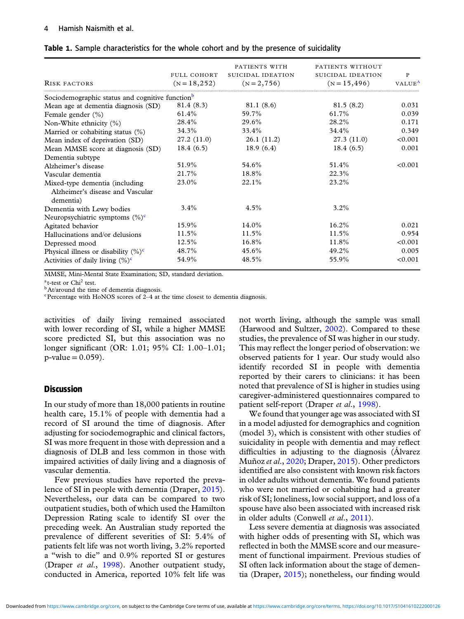| <b>RISK FACTORS</b>                                         | FULL COHORT<br>$(N = 18, 252)$ | PATIENTS WITH<br>SUICIDAL IDEATION<br>$(N = 2, 756)$ | PATIENTS WITHOUT<br>SUICIDAL IDEATION<br>$(N = 15, 496)$ | P<br>VALUE <sup>A</sup> |
|-------------------------------------------------------------|--------------------------------|------------------------------------------------------|----------------------------------------------------------|-------------------------|
| Sociodemographic status and cognitive function <sup>b</sup> |                                |                                                      |                                                          |                         |
| Mean age at dementia diagnosis (SD)                         | 81.4 (8.3)                     | 81.1 (8.6)                                           | 81.5(8.2)                                                | 0.031                   |
| Female gender (%)                                           | 61.4%                          | 59.7%                                                | 61.7%                                                    | 0.039                   |
| Non-White ethnicity (%)                                     | 28.4%                          | 29.6%                                                | 28.2%                                                    | 0.171                   |
| Married or cohabiting status $(\%)$                         | 34.3%                          | 33.4%                                                | 34.4%                                                    | 0.349                   |
| Mean index of deprivation (SD)                              | 27.2(11.0)                     | 26.1 (11.2)                                          | 27.3(11.0)                                               | < 0.001                 |
| Mean MMSE score at diagnosis (SD)                           | 18.4(6.5)                      | 18.9(6.4)                                            | 18.4(6.5)                                                | 0.001                   |
| Dementia subtype                                            |                                |                                                      |                                                          |                         |
| Alzheimer's disease                                         | 51.9%                          | 54.6%                                                | 51.4%                                                    | < 0.001                 |
| Vascular dementia                                           | 21.7%                          | 18.8%                                                | 22.3%                                                    |                         |
| Mixed-type dementia (including                              | 23.0%                          | $22.1\%$                                             | 23.2%                                                    |                         |
| Alzheimer's disease and Vascular<br>dementia)               |                                |                                                      |                                                          |                         |
| Dementia with Lewy bodies                                   | $3.4\%$                        | $4.5\%$                                              | 3.2%                                                     |                         |
| Neuropsychiatric symptoms $(\%)^c$                          |                                |                                                      |                                                          |                         |
| Agitated behavior                                           | 15.9%                          | 14.0%                                                | $16.2\%$                                                 | 0.021                   |
| Hallucinations and/or delusions                             | 11.5%                          | 11.5%                                                | 11.5%                                                    | 0.954                   |
| Depressed mood                                              | 12.5%                          | 16.8%                                                | 11.8%                                                    | < 0.001                 |
| Physical illness or disability $(\%)^c$                     | 48.7%                          | 45.6%                                                | 49.2%                                                    | 0.005                   |
| Activities of daily living $(\%)^c$                         | 54.9%                          | 48.5%                                                | 55.9%                                                    | < 0.001                 |

<span id="page-3-0"></span>Table 1. Sample characteristics for the whole cohort and by the presence of suicidality

MMSE, Mini-Mental State Examination; SD, standard deviation.

 $a$ <sub>t-test</sub> or Chi<sup>2</sup> test.

<sup>b</sup>At/around the time of dementia diagnosis.

 $c$ Percentage with HoNOS scores of 2–4 at the time closest to dementia diagnosis.

activities of daily living remained associated with lower recording of SI, while a higher MMSE score predicted SI, but this association was no longer significant (OR: 1.01; 95% CI: 1.00–1.01;  $p$ -value = 0.059).

### **Discussion**

In our study of more than 18,000 patients in routine health care, 15.1% of people with dementia had a record of SI around the time of diagnosis. After adjusting for sociodemographic and clinical factors, SI was more frequent in those with depression and a diagnosis of DLB and less common in those with impaired activities of daily living and a diagnosis of vascular dementia.

Few previous studies have reported the prevalence of SI in people with dementia (Draper, [2015\)](#page-7-0). Nevertheless, our data can be compared to two outpatient studies, both of which used the Hamilton Depression Rating scale to identify SI over the preceding week. An Australian study reported the prevalence of different severities of SI: 5.4% of patients felt life was not worth living, 3.2% reported a "wish to die" and 0.9% reported SI or gestures (Draper et al., [1998](#page-7-0)). Another outpatient study, conducted in America, reported 10% felt life was

not worth living, although the sample was small (Harwood and Sultzer, [2002\)](#page-7-0). Compared to these studies, the prevalence of SI was higher in our study. This may reflect the longer period of observation: we observed patients for 1 year. Our study would also identify recorded SI in people with dementia reported by their carers to clinicians: it has been noted that prevalence of SI is higher in studies using caregiver-administered questionnaires compared to patient self-report (Draper et al., [1998](#page-7-0)).

We found that younger age was associated with SI in a model adjusted for demographics and cognition (model 3), which is consistent with other studies of suicidality in people with dementia and may reflect difficulties in adjusting to the diagnosis (Álvarez Muñoz et al., [2020;](#page-6-0) Draper, [2015\)](#page-7-0). Other predictors identified are also consistent with known risk factors in older adults without dementia. We found patients who were not married or cohabiting had a greater risk of SI; loneliness, low social support, and loss of a spouse have also been associated with increased risk in older adults (Conwell et al., [2011\)](#page-6-0).

Less severe dementia at diagnosis was associated with higher odds of presenting with SI, which was reflected in both the MMSE score and our measurement of functional impairment. Previous studies of SI often lack information about the stage of dementia (Draper, [2015\)](#page-7-0); nonetheless, our finding would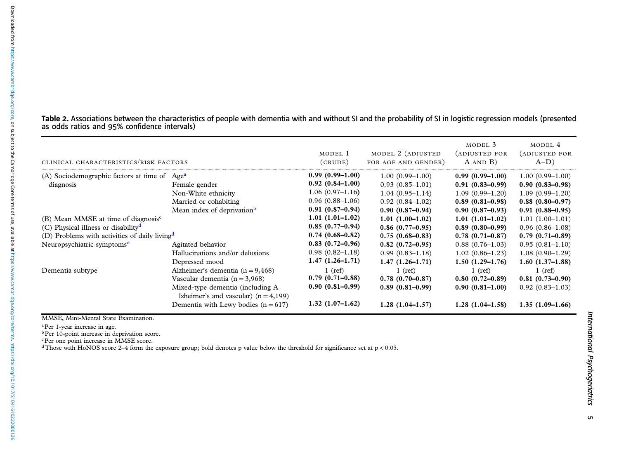| Table 2. Associations between the characteristics of people with dementia with and without SI and the probability of SI in logistic regression models (presented |  |  |  |
|------------------------------------------------------------------------------------------------------------------------------------------------------------------|--|--|--|
| as odds ratios and 95% confidence intervals)                                                                                                                     |  |  |  |

| CLINICAL CHARACTERISTICS/RISK FACTORS                     |                                         | MODEL 1<br>(CRUDE)  | MODEL 2 (ADJUSTED<br>FOR AGE AND GENDER) | MODEL 3<br>(ADJUSTED FOR<br>$A$ AND $B$ ) | MODEL 4<br>(ADJUSTED FOR<br>$A-D$ ) |
|-----------------------------------------------------------|-----------------------------------------|---------------------|------------------------------------------|-------------------------------------------|-------------------------------------|
| (A) Sociodemographic factors at time of                   | Age <sup>a</sup>                        | $0.99(0.99-1.00)$   | $1.00(0.99-1.00)$                        | $0.99(0.99-1.00)$                         | $1.00(0.99-1.00)$                   |
| diagnosis                                                 | Female gender                           | $0.92(0.84-1.00)$   | $0.93(0.85-1.01)$                        | $0.91(0.83 - 0.99)$                       | $0.90(0.83 - 0.98)$                 |
|                                                           | Non-White ethnicity                     | $1.06(0.97-1.16)$   | $1.04(0.95-1.14)$                        | $1.09(0.99-1.20)$                         | $1.09(0.99-1.20)$                   |
|                                                           | Married or cohabiting                   | $0.96(0.88-1.06)$   | $0.92(0.84-1.02)$                        | $0.89(0.81 - 0.98)$                       | $0.88(0.80 - 0.97)$                 |
|                                                           | Mean index of deprivation <sup>b</sup>  | $0.91(0.87-0.94)$   | $0.90(0.87-0.94)$                        | $0.90(0.87-0.93)$                         | $0.91(0.88 - 0.95)$                 |
| (B) Mean MMSE at time of diagnosis <sup>c</sup>           |                                         | $1.01(1.01-1.02)$   | $1.01(1.00-1.02)$                        | $1.01(1.01-1.02)$                         | $1.01(1.00-1.01)$                   |
| (C) Physical illness or disability $\mathbf{d}$           |                                         | $0.85(0.77-0.94)$   | $0.86(0.77-0.95)$                        | $0.89(0.80-0.99)$                         | $0.96(0.86-1.08)$                   |
| (D) Problems with activities of daily living <sup>d</sup> |                                         | $0.74(0.68 - 0.82)$ | $0.75(0.68 - 0.83)$                      | $0.78(0.71 - 0.87)$                       | $0.79(0.71 - 0.89)$                 |
| Neuropsychiatric symptoms <sup>d</sup>                    | Agitated behavior                       | $0.83(0.72-0.96)$   | $0.82(0.72 - 0.95)$                      | $0.88(0.76-1.03)$                         | $0.95(0.81-1.10)$                   |
|                                                           | Hallucinations and/or delusions         | $0.98(0.82 - 1.18)$ | $0.99(0.83 - 1.18)$                      | $1.02(0.86-1.23)$                         | $1.08(0.90-1.29)$                   |
|                                                           | Depressed mood                          | $1.47(1.26-1.71)$   | $1.47(1.26-1.71)$                        | $1.50(1.29-1.76)$                         | $1.60(1.37-1.88)$                   |
| Dementia subtype                                          | Alzheimer's dementia $(n = 9,468)$      | $1$ (ref)           | $1$ (ref)                                | $1$ (ref)                                 | $1$ (ref)                           |
|                                                           | Vascular dementia $(n = 3,968)$         | $0.79(0.71 - 0.88)$ | $0.78(0.70-0.87)$                        | $0.80(0.72-0.89)$                         | $0.81(0.73-0.90)$                   |
|                                                           | Mixed-type dementia (including A        | $0.90(0.81 - 0.99)$ | $0.89(0.81 - 0.99)$                      | $0.90(0.81-1.00)$                         | $0.92(0.83 - 1.03)$                 |
|                                                           | lzheimer's and vascular) $(n = 4, 199)$ |                     |                                          |                                           |                                     |
|                                                           | Dementia with Lewy bodies $(n = 617)$   | $1.32(1.07-1.62)$   | $1.28(1.04-1.57)$                        | $1.28(1.04-1.58)$                         | $1.35(1.09-1.66)$                   |

MMSE, Mini-Mental State Examination.

<span id="page-4-0"></span>Downloaded from https://www.cambridge.org/core, on subject to the Cambridge Core terms of use, available at https://www.cambridge.org/core/terms. https://doi.org/1017/51041610222000126 Downloaded from<https://www.cambridge.org/core>, on subject to the Cambridge Core terms of use, available at <https://www.cambridge.org/core/terms>. <https://doi.org/10.1017/S1041610222000126>

<sup>a</sup>Per 1-year increase in age.<br><sup>b</sup>Per 10-point increase in deprivation score.

<sup>c</sup>Per one point increase in MMSE score.<br><sup>d</sup>Those with HoNOS score 2–4 form the exposure group; bold denotes p value below the threshold for significance set at p<0.05.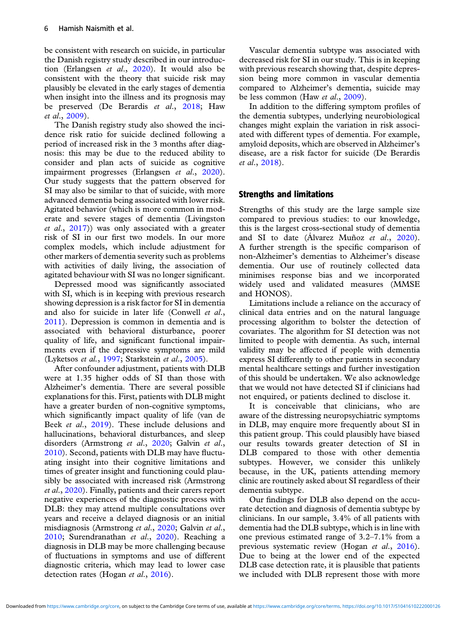be consistent with research on suicide, in particular the Danish registry study described in our introduction (Erlangsen et al., [2020\)](#page-7-0). It would also be consistent with the theory that suicide risk may plausibly be elevated in the early stages of dementia when insight into the illness and its prognosis may be preserved (De Berardis et al., [2018;](#page-6-0) Haw et al., [2009\)](#page-7-0).

The Danish registry study also showed the incidence risk ratio for suicide declined following a period of increased risk in the 3 months after diagnosis: this may be due to the reduced ability to consider and plan acts of suicide as cognitive impairment progresses (Erlangsen et al., [2020\)](#page-7-0). Our study suggests that the pattern observed for SI may also be similar to that of suicide, with more advanced dementia being associated with lower risk. Agitated behavior (which is more common in moderate and severe stages of dementia (Livingston et al., [2017](#page-7-0))) was only associated with a greater risk of SI in our first two models. In our more complex models, which include adjustment for other markers of dementia severity such as problems with activities of daily living, the association of agitated behaviour with SI was no longer significant.

Depressed mood was significantly associated with SI, which is in keeping with previous research showing depression is a risk factor for SI in dementia and also for suicide in later life (Conwell et al., [2011\)](#page-6-0). Depression is common in dementia and is associated with behavioral disturbance, poorer quality of life, and significant functional impairments even if the depressive symptoms are mild (Lyketsos et al., [1997;](#page-7-0) Starkstein et al., [2005](#page-7-0)).

After confounder adjustment, patients with DLB were at 1.35 higher odds of SI than those with Alzheimer's dementia. There are several possible explanations for this. First, patients with DLB might have a greater burden of non-cognitive symptoms, which significantly impact quality of life (van de Beek et al., [2019](#page-6-0)). These include delusions and hallucinations, behavioral disturbances, and sleep disorders (Armstrong et al., [2020;](#page-6-0) Galvin et al., [2010\)](#page-7-0). Second, patients with DLB may have fluctuating insight into their cognitive limitations and times of greater insight and functioning could plausibly be associated with increased risk (Armstrong et al., [2020\)](#page-6-0). Finally, patients and their carers report negative experiences of the diagnostic process with DLB: they may attend multiple consultations over years and receive a delayed diagnosis or an initial misdiagnosis (Armstrong et al., [2020;](#page-6-0) Galvin et al., [2010;](#page-7-0) Surendranathan et al., [2020](#page-7-0)). Reaching a diagnosis in DLB may be more challenging because of fluctuations in symptoms and use of different diagnostic criteria, which may lead to lower case detection rates (Hogan et al., [2016\)](#page-7-0).

Vascular dementia subtype was associated with decreased risk for SI in our study. This is in keeping with previous research showing that, despite depression being more common in vascular dementia compared to Alzheimer's dementia, suicide may be less common (Haw *et al.*, [2009\)](#page-7-0).

In addition to the differing symptom profiles of the dementia subtypes, underlying neurobiological changes might explain the variation in risk associated with different types of dementia. For example, amyloid deposits, which are observed in Alzheimer's disease, are a risk factor for suicide (De Berardis et al., [2018\)](#page-6-0).

## Strengths and limitations

Strengths of this study are the large sample size compared to previous studies: to our knowledge, this is the largest cross-sectional study of dementia and SI to date (Alvarez Muñoz et al.,  $2020$ ). A further strength is the specific comparison of non-Alzheimer's dementias to Alzheimer's disease dementia. Our use of routinely collected data minimises response bias and we incorporated widely used and validated measures (MMSE and HONOS).

Limitations include a reliance on the accuracy of clinical data entries and on the natural language processing algorithm to bolster the detection of covariates. The algorithm for SI detection was not limited to people with dementia. As such, internal validity may be affected if people with dementia express SI differently to other patients in secondary mental healthcare settings and further investigation of this should be undertaken. We also acknowledge that we would not have detected SI if clinicians had not enquired, or patients declined to disclose it.

It is conceivable that clinicians, who are aware of the distressing neuropsychiatric symptoms in DLB, may enquire more frequently about SI in this patient group. This could plausibly have biased our results towards greater detection of SI in DLB compared to those with other dementia subtypes. However, we consider this unlikely because, in the UK, patients attending memory clinic are routinely asked about SI regardless of their dementia subtype.

Our findings for DLB also depend on the accurate detection and diagnosis of dementia subtype by clinicians. In our sample, 3.4% of all patients with dementia had the DLB subtype, which is in line with one previous estimated range of 3.2–7.1% from a previous systematic review (Hogan et al., [2016](#page-7-0)). Due to being at the lower end of the expected DLB case detection rate, it is plausible that patients we included with DLB represent those with more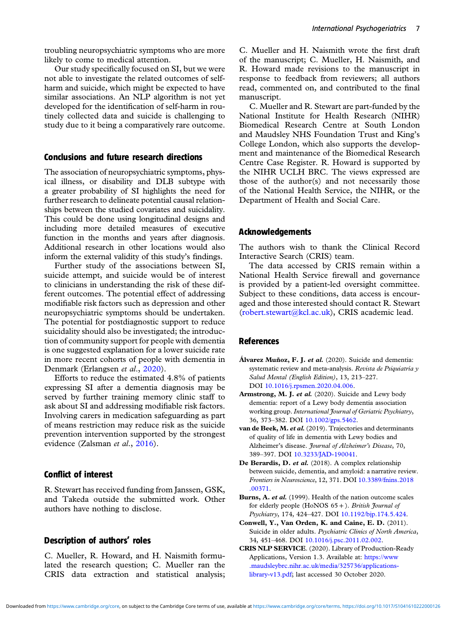<span id="page-6-0"></span>troubling neuropsychiatric symptoms who are more likely to come to medical attention.

Our study specifically focused on SI, but we were not able to investigate the related outcomes of selfharm and suicide, which might be expected to have similar associations. An NLP algorithm is not yet developed for the identification of self-harm in routinely collected data and suicide is challenging to study due to it being a comparatively rare outcome.

## Conclusions and future research directions

The association of neuropsychiatric symptoms, physical illness, or disability and DLB subtype with a greater probability of SI highlights the need for further research to delineate potential causal relationships between the studied covariates and suicidality. This could be done using longitudinal designs and including more detailed measures of executive function in the months and years after diagnosis. Additional research in other locations would also inform the external validity of this study's findings.

Further study of the associations between SI, suicide attempt, and suicide would be of interest to clinicians in understanding the risk of these different outcomes. The potential effect of addressing modifiable risk factors such as depression and other neuropsychiatric symptoms should be undertaken. The potential for postdiagnostic support to reduce suicidality should also be investigated; the introduction of community support for people with dementia is one suggested explanation for a lower suicide rate in more recent cohorts of people with dementia in Denmark (Erlangsen et al., [2020](#page-7-0)).

Efforts to reduce the estimated 4.8% of patients expressing SI after a dementia diagnosis may be served by further training memory clinic staff to ask about SI and addressing modifiable risk factors. Involving carers in medication safeguarding as part of means restriction may reduce risk as the suicide prevention intervention supported by the strongest evidence (Zalsman et al., [2016\)](#page-7-0).

## Conflict of interest

R. Stewart has received funding from Janssen, GSK, and Takeda outside the submitted work. Other authors have nothing to disclose.

## Description of authors' roles

C. Mueller, R. Howard, and H. Naismith formulated the research question; C. Mueller ran the CRIS data extraction and statistical analysis; C. Mueller and H. Naismith wrote the first draft of the manuscript; C. Mueller, H. Naismith, and R. Howard made revisions to the manuscript in response to feedback from reviewers; all authors read, commented on, and contributed to the final manuscript.

C. Mueller and R. Stewart are part-funded by the National Institute for Health Research (NIHR) Biomedical Research Centre at South London and Maudsley NHS Foundation Trust and King's College London, which also supports the development and maintenance of the Biomedical Research Centre Case Register. R. Howard is supported by the NIHR UCLH BRC. The views expressed are those of the author(s) and not necessarily those of the National Health Service, the NIHR, or the Department of Health and Social Care.

## Acknowledgements

The authors wish to thank the Clinical Record Interactive Search (CRIS) team.

The data accessed by CRIS remain within a National Health Service firewall and governance is provided by a patient-led oversight committee. Subject to these conditions, data access is encouraged and those interested should contact R. Stewart ([robert.stewart@kcl.ac.uk\)](mailto:robert.stewart@kcl.ac.uk), CRIS academic lead.

### References

- Álvarez Muñoz, F. J. et al. (2020). Suicide and dementia: systematic review and meta-analysis. Revista de Psiquiatría y Salud Mental (English Edition), 13, 213–227. DOI [10.1016/j.rpsmen.2020.04.006](https://doi.org/10.1016/j.rpsmen.2020.04.006).
- Armstrong, M. J. et al. (2020). Suicide and Lewy body dementia: report of a Lewy body dementia association working group. International Journal of Geriatric Psychiatry, 36, 373–382. DOI [10.1002/gps.5462](https://doi.org/10.1002/gps.5462).
- van de Beek, M. et al. (2019). Trajectories and determinants of quality of life in dementia with Lewy bodies and Alzheimer's disease. Journal of Alzheimer's Disease, 70, 389–397. DOI [10.3233/JAD-190041](https://doi.org/10.3233/JAD-190041).
- De Berardis, D. et al. (2018). A complex relationship between suicide, dementia, and amyloid: a narrative review. Frontiers in Neuroscience, 12, 371. DOI [10.3389/fnins.2018](https://doi.org/10.3389/fnins.2018.00371) [.00371](https://doi.org/10.3389/fnins.2018.00371).
- Burns, A. et al. (1999). Health of the nation outcome scales for elderly people (HoNOS  $65 +$ ). British Journal of Psychiatry, 174, 424–427. DOI [10.1192/bjp.174.5.424](https://doi.org/10.1192/bjp.174.5.424).
- Conwell, Y., Van Orden, K. and Caine, E. D. (2011). Suicide in older adults. Psychiatric Clinics of North America, 34, 451–468. DOI [10.1016/j.psc.2011.02.002.](https://doi.org/10.1016/j.psc.2011.02.002)
- CRIS NLP SERVICE. (2020). Library of Production-Ready Applications, Version 1.3. Available at: [https://www](https://www.maudsleybrc.nihr.ac.uk/media/325736/applications-library-v13.pdf) [.maudsleybrc.nihr.ac.uk/media/325736/applications](https://www.maudsleybrc.nihr.ac.uk/media/325736/applications-library-v13.pdf)[library-v13.pdf;](https://www.maudsleybrc.nihr.ac.uk/media/325736/applications-library-v13.pdf) last accessed 30 October 2020.